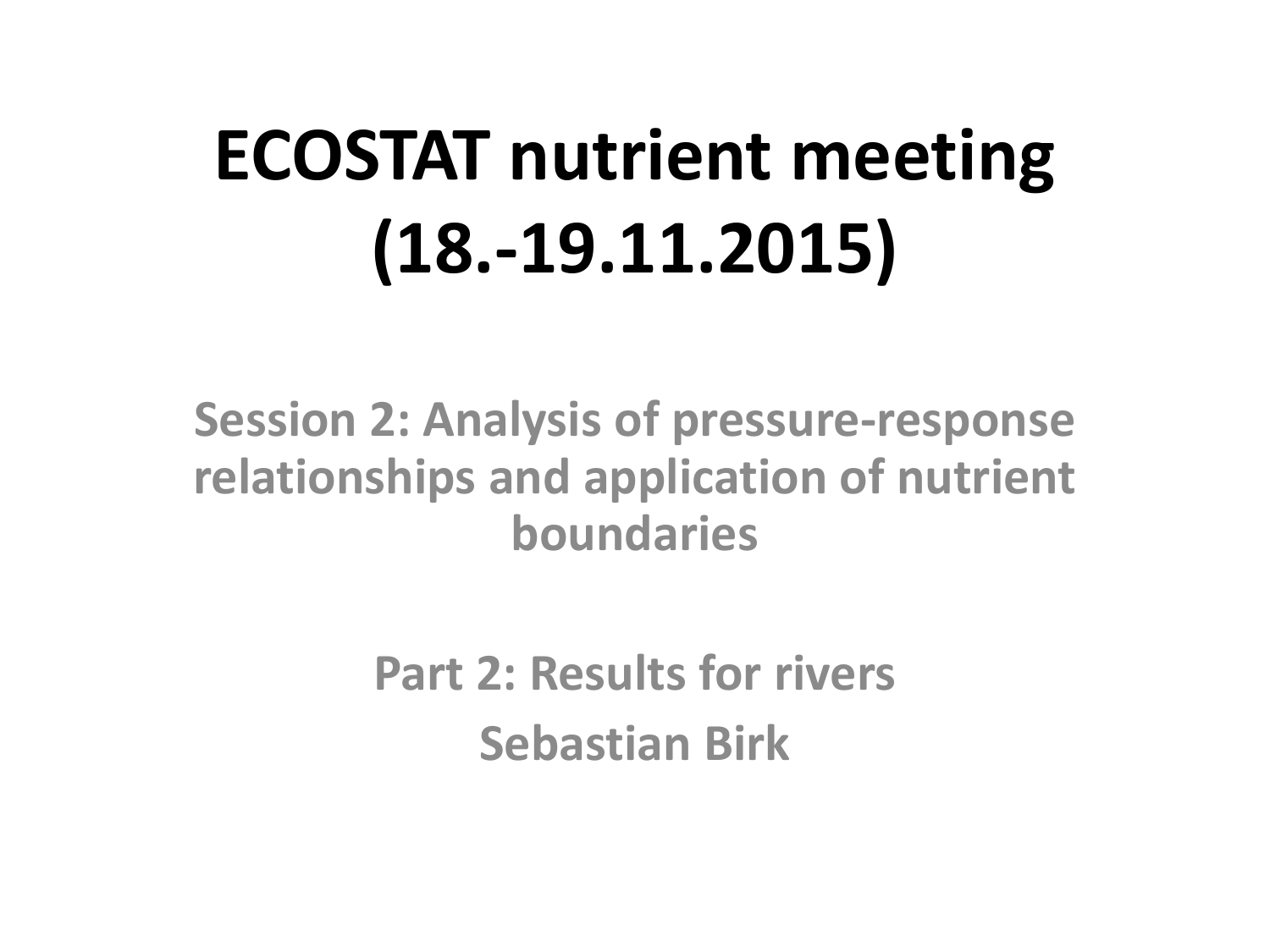# **ECOSTAT nutrient meeting (18.-19.11.2015)**

**Session 2: Analysis of pressure-response relationships and application of nutrient boundaries**

> **Part 2: Results for rivers Sebastian Birk**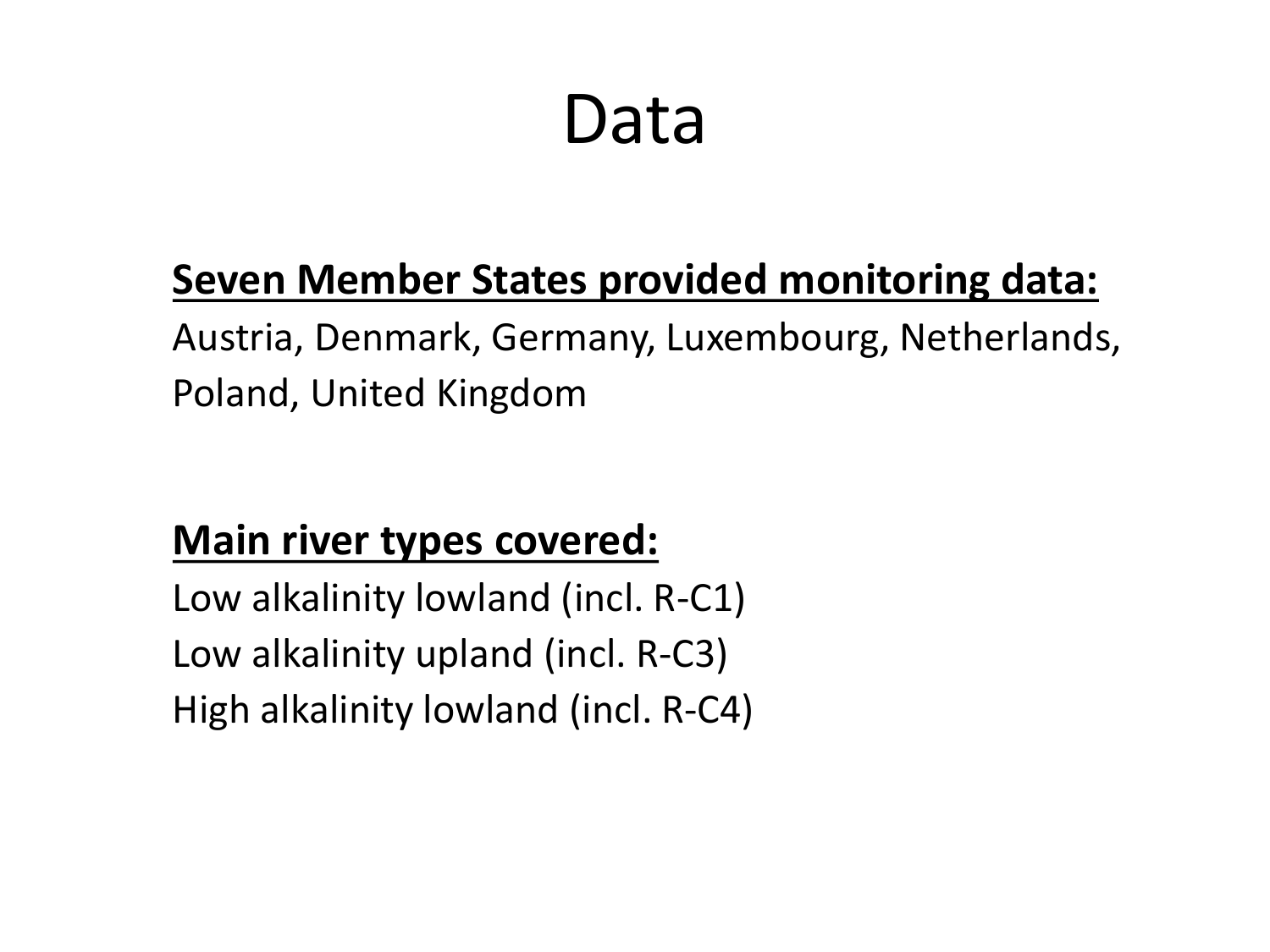### Data

### **Seven Member States provided monitoring data:**

Austria, Denmark, Germany, Luxembourg, Netherlands, Poland, United Kingdom

### **Main river types covered:**

Low alkalinity lowland (incl. R-C1) Low alkalinity upland (incl. R-C3) High alkalinity lowland (incl. R-C4)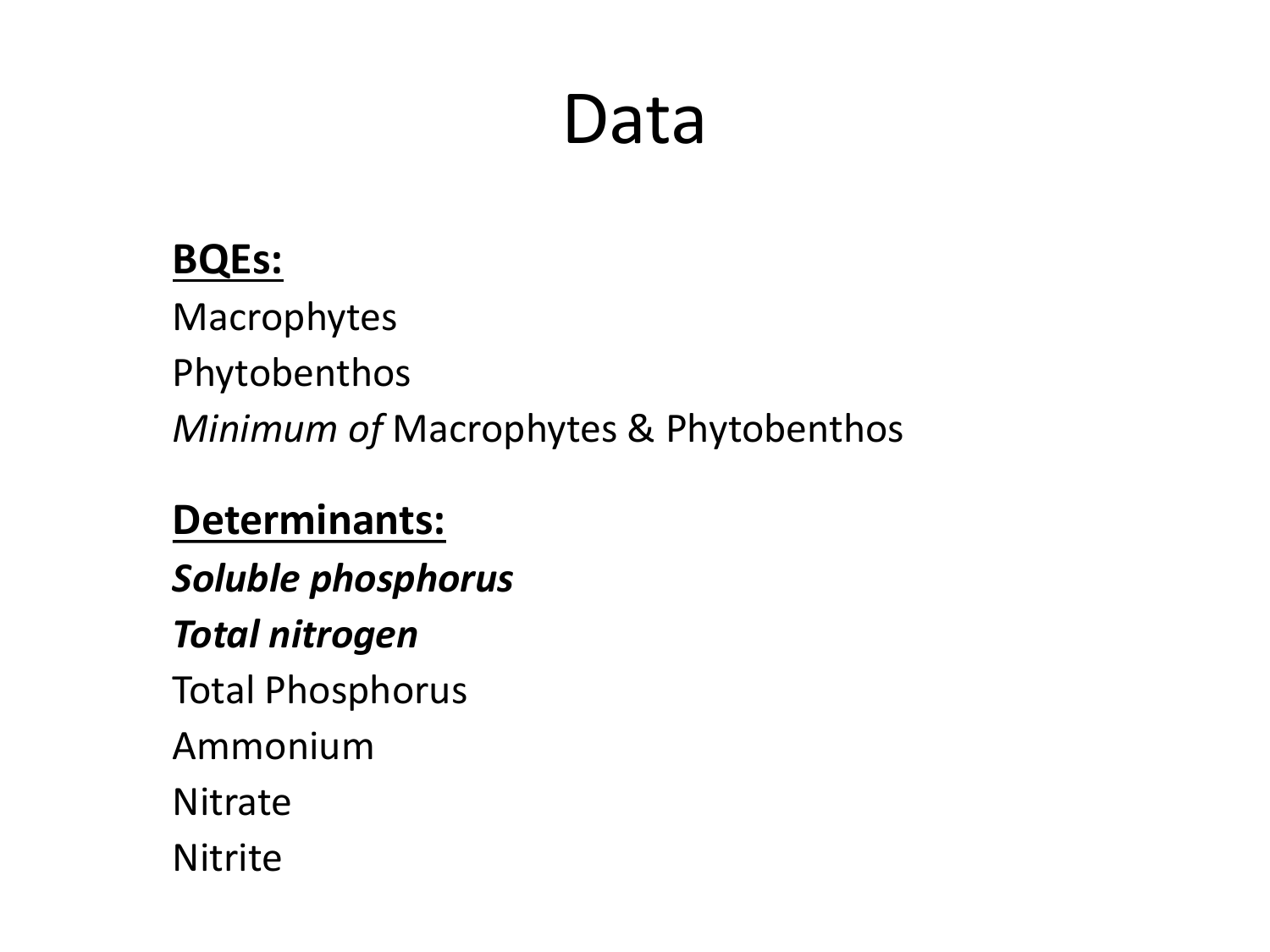## Data

### **BQEs:**

Macrophytes Phytobenthos *Minimum of* Macrophytes & Phytobenthos

#### **Determinants:**

*Soluble phosphorus*

#### *Total nitrogen*

Total Phosphorus

Ammonium

**Nitrate** 

Nitrite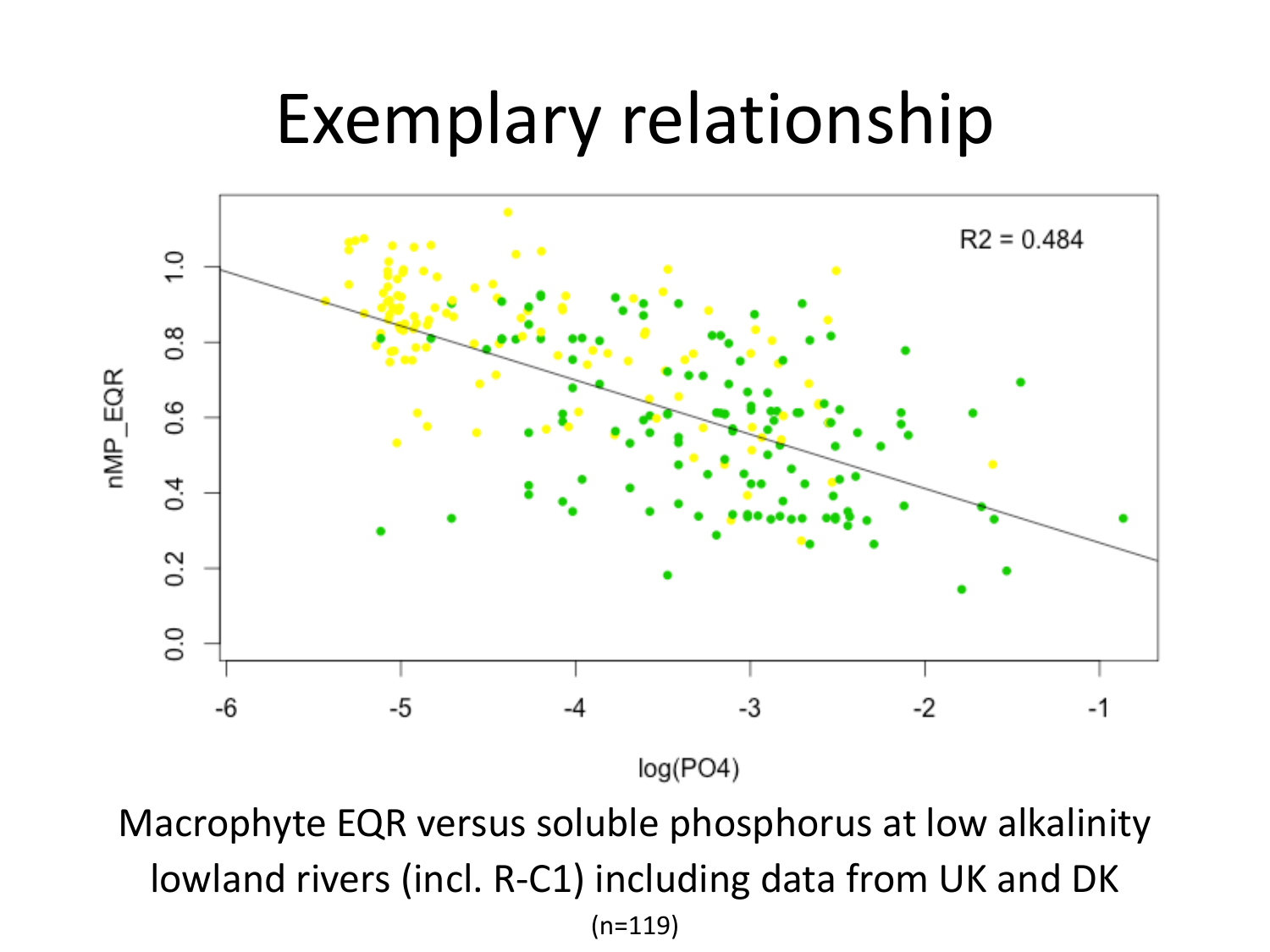### Exemplary relationship



Macrophyte EQR versus soluble phosphorus at low alkalinity lowland rivers (incl. R-C1) including data from UK and DK  $(n=119)$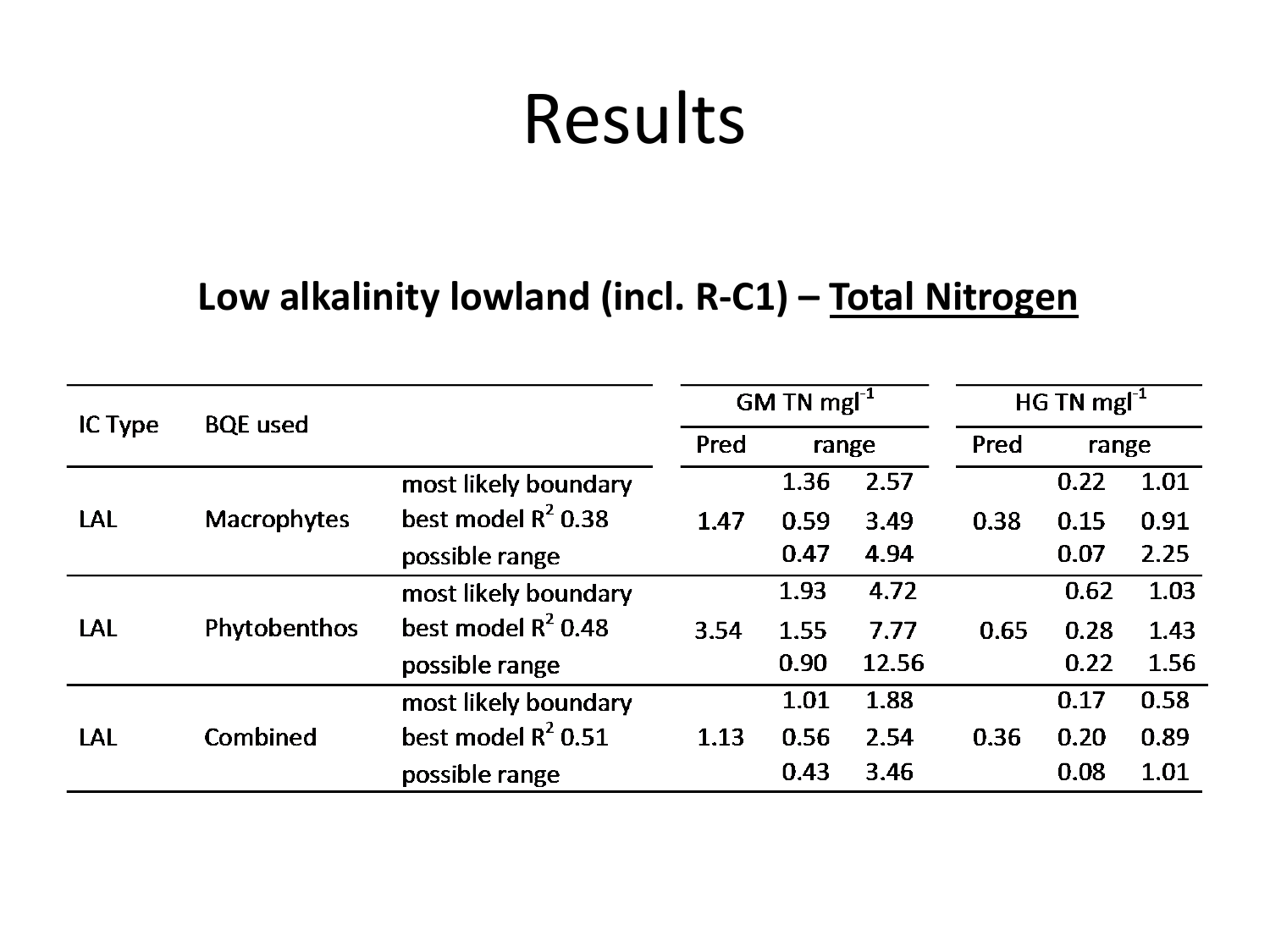#### **Low alkalinity lowland (incl. R-C1) – Total Nitrogen**

|         | <b>BQE</b> used    |                       | GM TN $mgl^{-1}$ |       |       | HG TN mg $I^{-1}$ |       |      |
|---------|--------------------|-----------------------|------------------|-------|-------|-------------------|-------|------|
| IC Type |                    |                       | Pred             | range |       | Pred              | range |      |
|         |                    | most likely boundary  |                  | 1.36  | 2.57  |                   | 0.22  | 1.01 |
| LAL     | <b>Macrophytes</b> | best model $R^2$ 0.38 | 1.47             | 0.59  | 3.49  | 0.38              | 0.15  | 0.91 |
|         |                    | possible range        |                  | 0.47  | 4.94  |                   | 0.07  | 2.25 |
|         |                    | most likely boundary  |                  | 1.93  | 4.72  |                   | 0.62  | 1.03 |
| LAL     | Phytobenthos       | best model $R^2$ 0.48 | 3.54             | 1.55  | 7.77  | 0.65              | 0.28  | 1.43 |
|         |                    | possible range        |                  | 0.90  | 12.56 |                   | 0.22  | 1.56 |
|         |                    | most likely boundary  |                  | 1.01  | 1.88  |                   | 0.17  | 0.58 |
| LAL     | Combined           | best model $R^2$ 0.51 | 1.13             | 0.56  | 2.54  | 0.36              | 0.20  | 0.89 |
|         |                    | possible range        |                  | 0.43  | 3.46  |                   | 0.08  | 1.01 |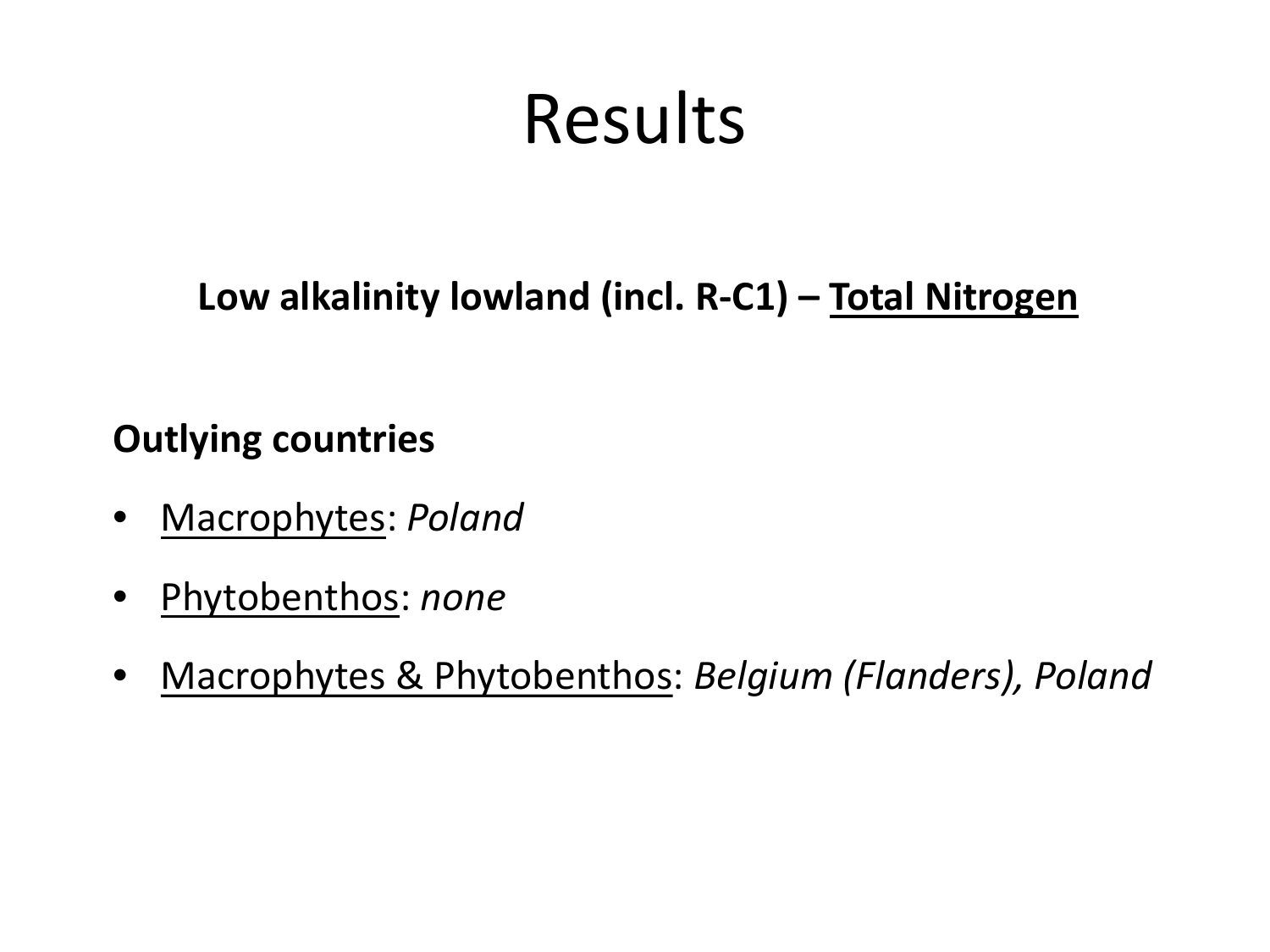**Low alkalinity lowland (incl. R-C1) – Total Nitrogen**

- Macrophytes: *Poland*
- Phytobenthos: *none*
- Macrophytes & Phytobenthos: *Belgium (Flanders), Poland*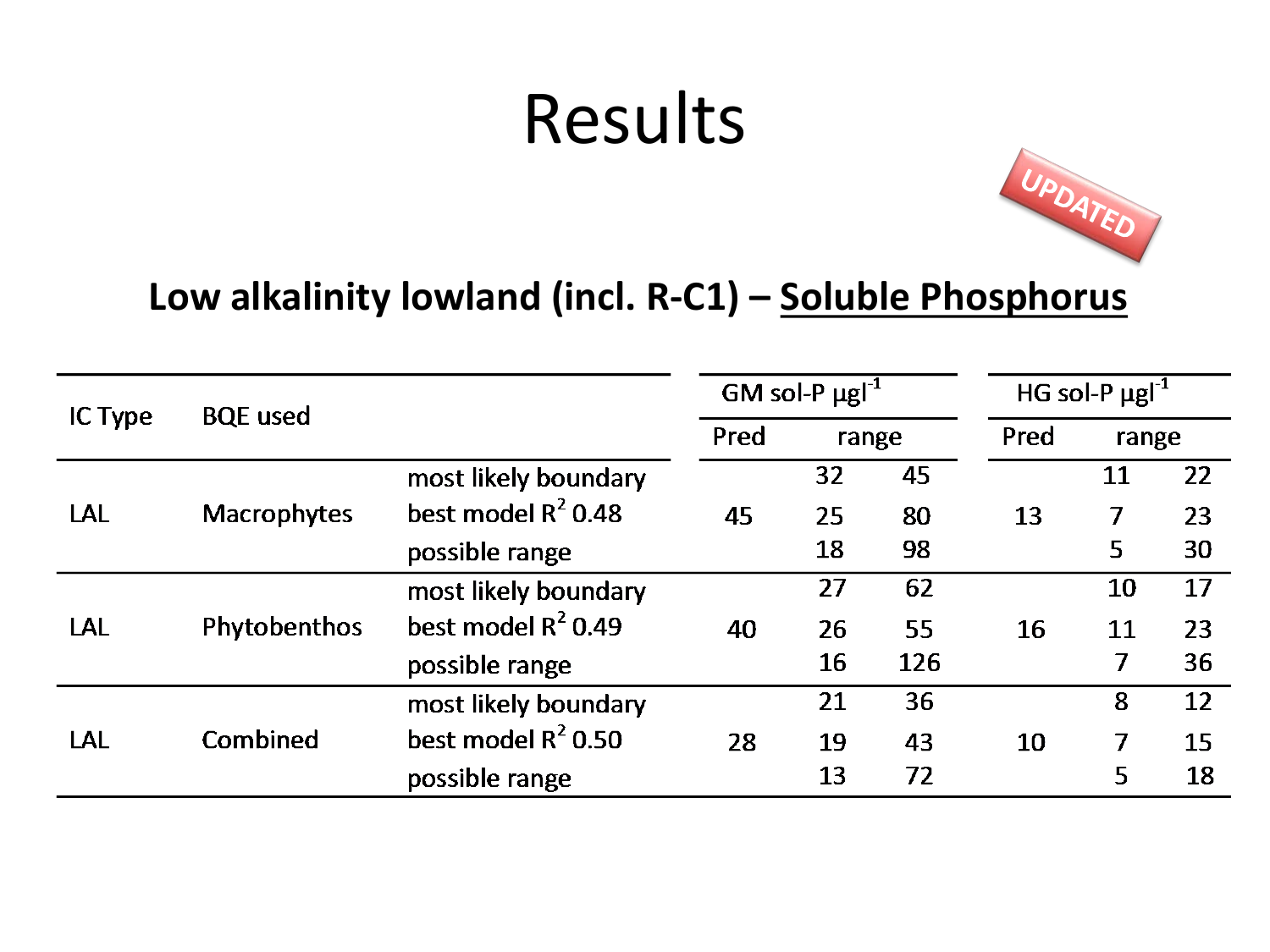

#### **Low alkalinity lowland (incl. R-C1) – Soluble Phosphorus**

|         | <b>BQE</b> used    |                       | GM sol-P $\mu$ gl <sup>-1</sup> |       |     | HG sol-P $\mu$ gl <sup>-1</sup> |       |    |
|---------|--------------------|-----------------------|---------------------------------|-------|-----|---------------------------------|-------|----|
| IC Type |                    |                       | Pred                            | range |     | Pred                            | range |    |
|         |                    | most likely boundary  |                                 | 32    | 45  |                                 | 11    | 22 |
| LAL     | <b>Macrophytes</b> | best model $R^2$ 0.48 | 45                              | 25    | 80  | 13                              | 7     | 23 |
|         |                    | possible range        |                                 | 18    | 98  |                                 | 5     | 30 |
|         |                    | most likely boundary  |                                 | 27    | 62  |                                 | 10    | 17 |
| LAL     | Phytobenthos       | best model $R^2$ 0.49 | 40                              | 26    | 55  | 16                              | 11    | 23 |
|         |                    | possible range        |                                 | 16    | 126 |                                 | 7     | 36 |
|         |                    | most likely boundary  |                                 | 21    | 36  |                                 | 8     | 12 |
| LAL     | Combined           | best model $R^2$ 0.50 | 28                              | 19    | 43  | 10                              | 7     | 15 |
|         |                    | possible range        |                                 | 13    | 72  |                                 | 5     | 18 |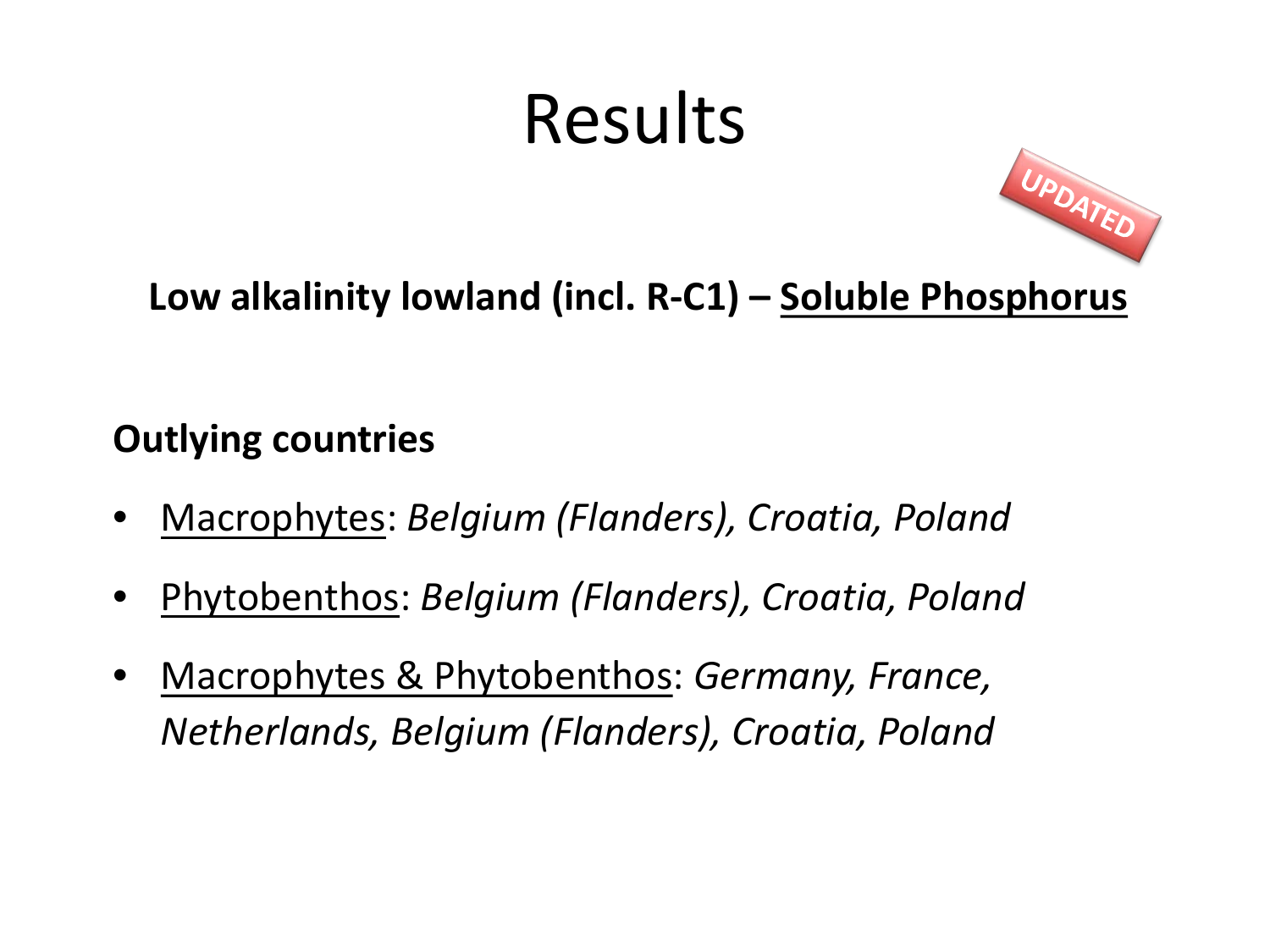

**Low alkalinity lowland (incl. R-C1) – Soluble Phosphorus**

- Macrophytes: *Belgium (Flanders), Croatia, Poland*
- Phytobenthos: *Belgium (Flanders), Croatia, Poland*
- Macrophytes & Phytobenthos: *Germany, France, Netherlands, Belgium (Flanders), Croatia, Poland*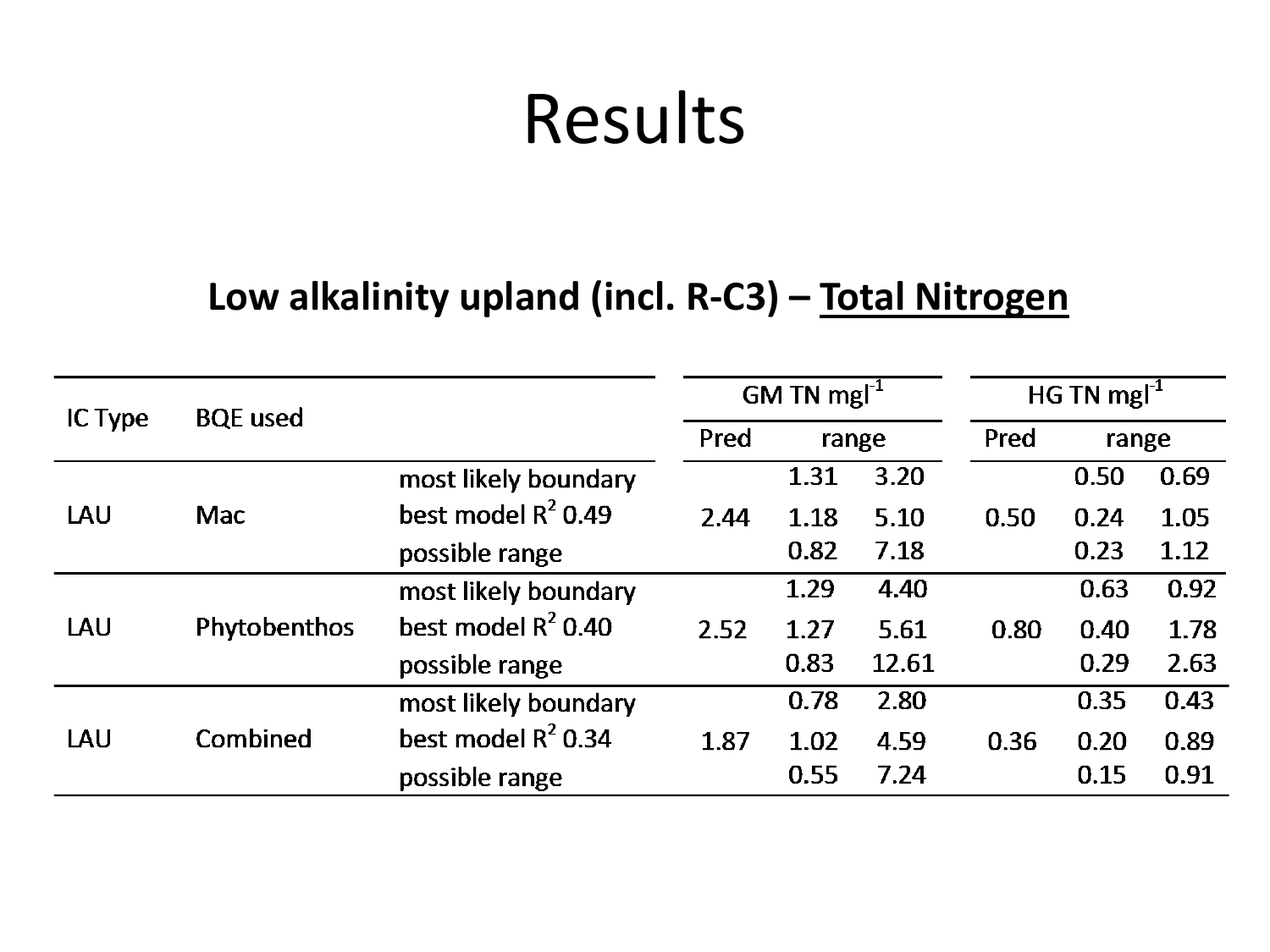#### **Low alkalinity upland (incl. R-C3) – Total Nitrogen**

|         | <b>BQE</b> used     |                       | GM TN mg $I^{-1}$ |       |       | HG TN mg $I^1$ |       |      |
|---------|---------------------|-----------------------|-------------------|-------|-------|----------------|-------|------|
| IC Type |                     |                       | Pred              | range |       | Pred           | range |      |
|         |                     | most likely boundary  |                   | 1.31  | 3.20  |                | 0.50  | 0.69 |
| LAU     | <b>Mac</b>          | best model $R^2$ 0.49 | 2.44              | 1.18  | 5.10  | 0.50           | 0.24  | 1.05 |
|         |                     | possible range        |                   | 0.82  | 7.18  |                | 0.23  | 1.12 |
|         |                     | most likely boundary  |                   | 1.29  | 4.40  |                | 0.63  | 0.92 |
| LAU     | <b>Phytobenthos</b> | best model $R^2$ 0.40 | 2.52              | 1.27  | 5.61  | 0.80           | 0.40  | 1.78 |
|         |                     | possible range        |                   | 0.83  | 12.61 |                | 0.29  | 2.63 |
|         |                     | most likely boundary  |                   | 0.78  | 2.80  |                | 0.35  | 0.43 |
| LAU     | Combined            | best model $R^2$ 0.34 | 1.87              | 1.02  | 4.59  | 0.36           | 0.20  | 0.89 |
|         |                     | possible range        |                   | 0.55  | 7.24  |                | 0.15  | 0.91 |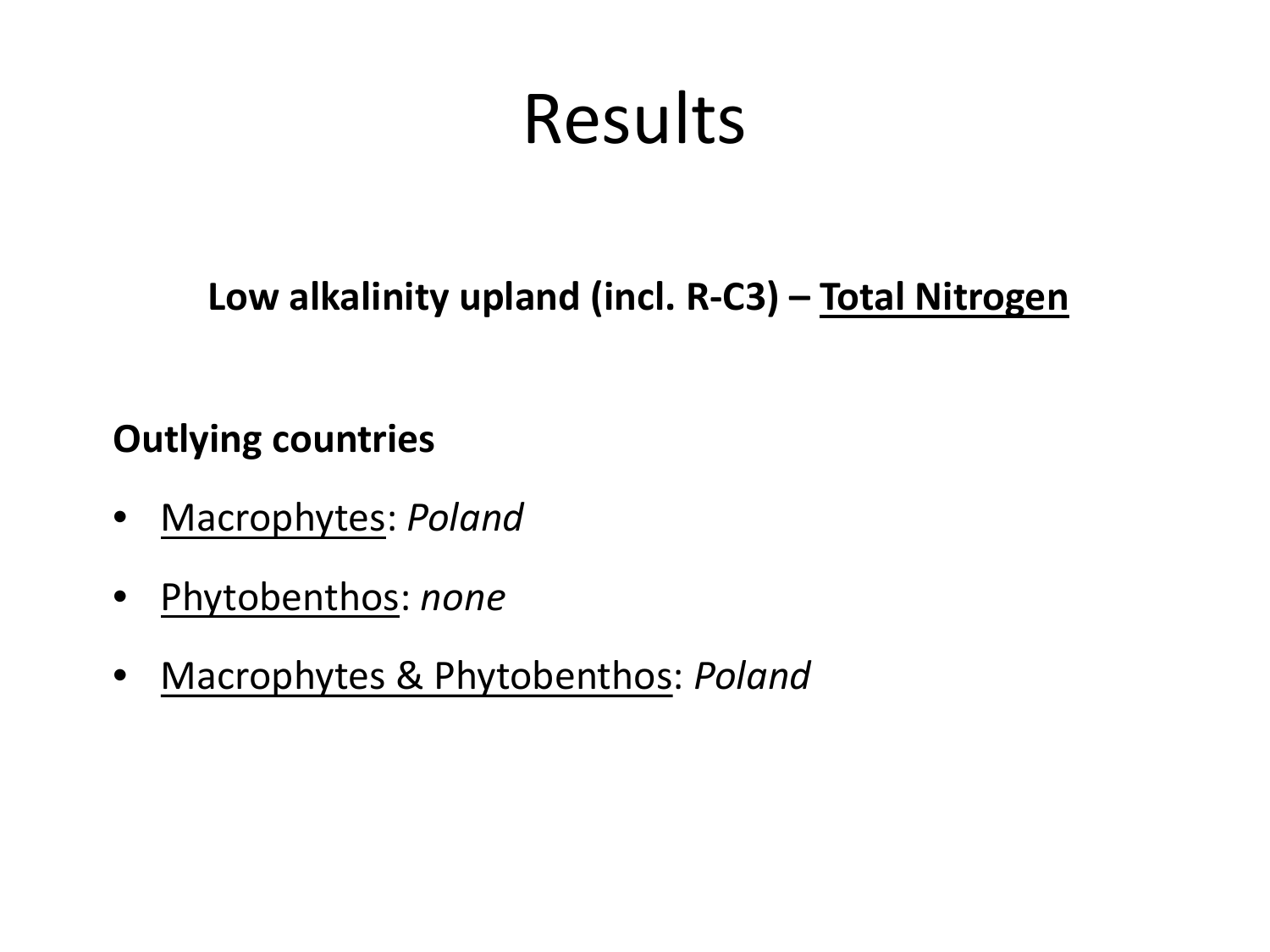**Low alkalinity upland (incl. R-C3) – Total Nitrogen**

- Macrophytes: *Poland*
- Phytobenthos: *none*
- Macrophytes & Phytobenthos: *Poland*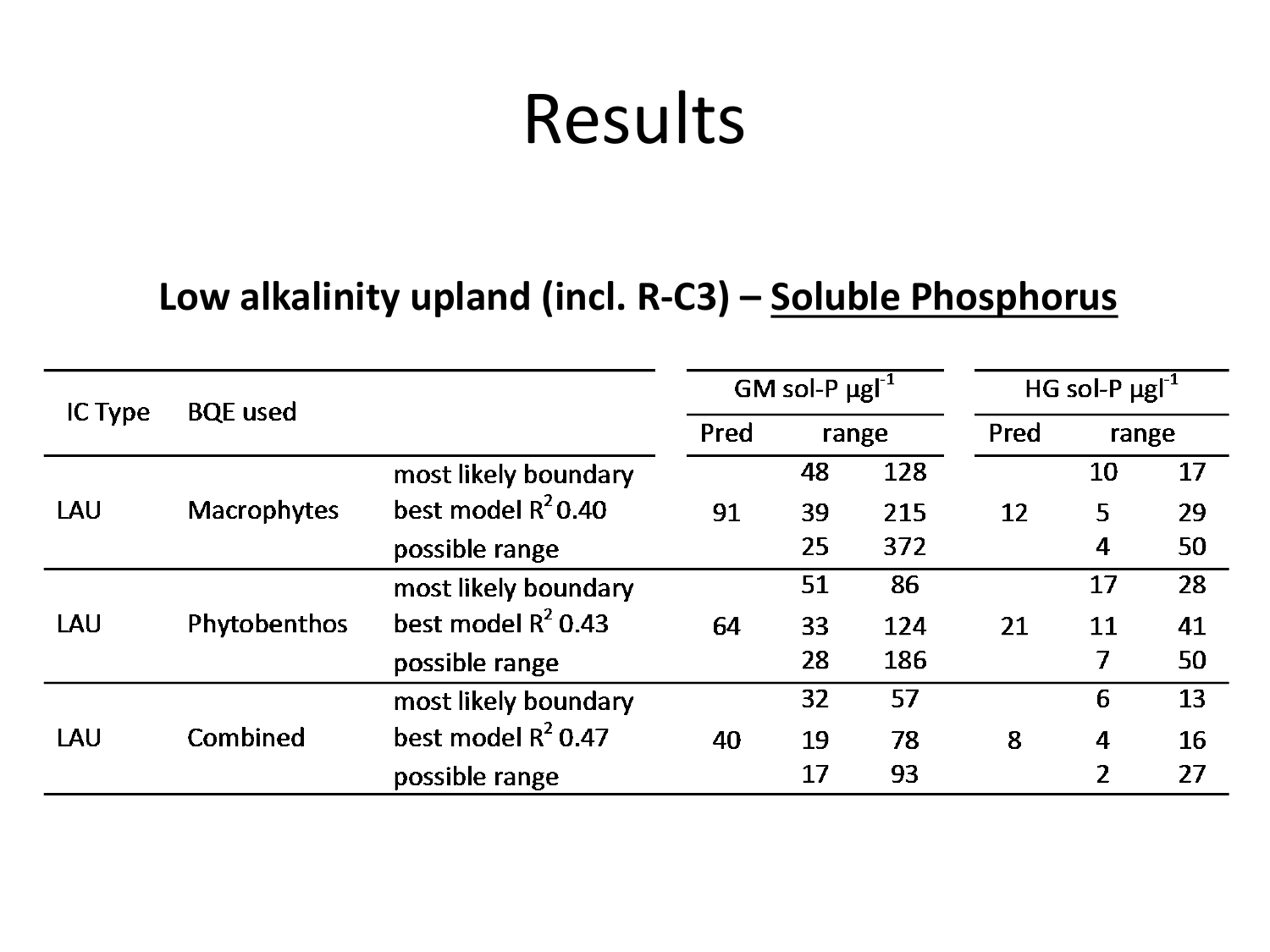#### **Low alkalinity upland (incl. R-C3) – Soluble Phosphorus**

|         | <b>BQE</b> used    |                       | GM sol-P $\mu$ gl <sup>-1</sup> |       |     | HG sol-P $\mu$ gl <sup>-1</sup> |                  |    |
|---------|--------------------|-----------------------|---------------------------------|-------|-----|---------------------------------|------------------|----|
| IC Type |                    |                       | Pred                            | range |     | Pred                            | range            |    |
|         |                    | most likely boundary  |                                 | 48    | 128 |                                 | 10               | 17 |
| LAU     | <b>Macrophytes</b> | best model $R^2$ 0.40 | 91                              | 39    | 215 | 12                              | 5                | 29 |
|         |                    | possible range        |                                 | 25    | 372 |                                 | $\overline{4}$   | 50 |
|         |                    | most likely boundary  |                                 | 51    | 86  |                                 | 17               | 28 |
| LAU     | Phytobenthos       | best model $R^2$ 0.43 | 64                              | 33    | 124 | 21                              | 11               | 41 |
|         |                    | possible range        |                                 | 28    | 186 |                                 | 7                | 50 |
|         |                    | most likely boundary  |                                 | 32    | 57  |                                 | 6                | 13 |
| LAU     | Combined           | best model $R^2$ 0.47 | 40                              | 19    | 78  | 8                               | $\boldsymbol{4}$ | 16 |
|         |                    | possible range        |                                 | 17    | 93  |                                 | $\overline{2}$   | 27 |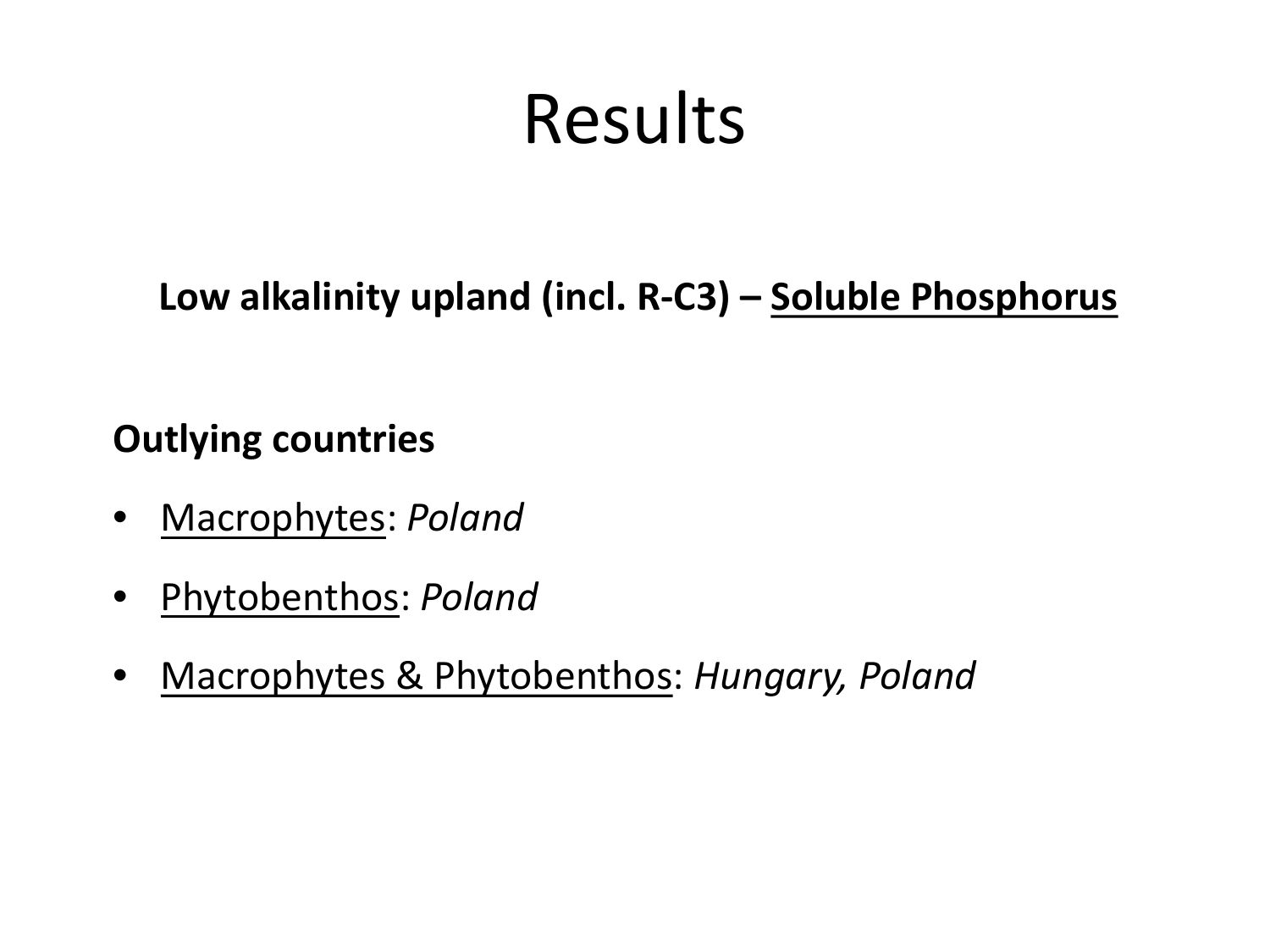**Low alkalinity upland (incl. R-C3) – Soluble Phosphorus**

- Macrophytes: *Poland*
- Phytobenthos: *Poland*
- Macrophytes & Phytobenthos: *Hungary, Poland*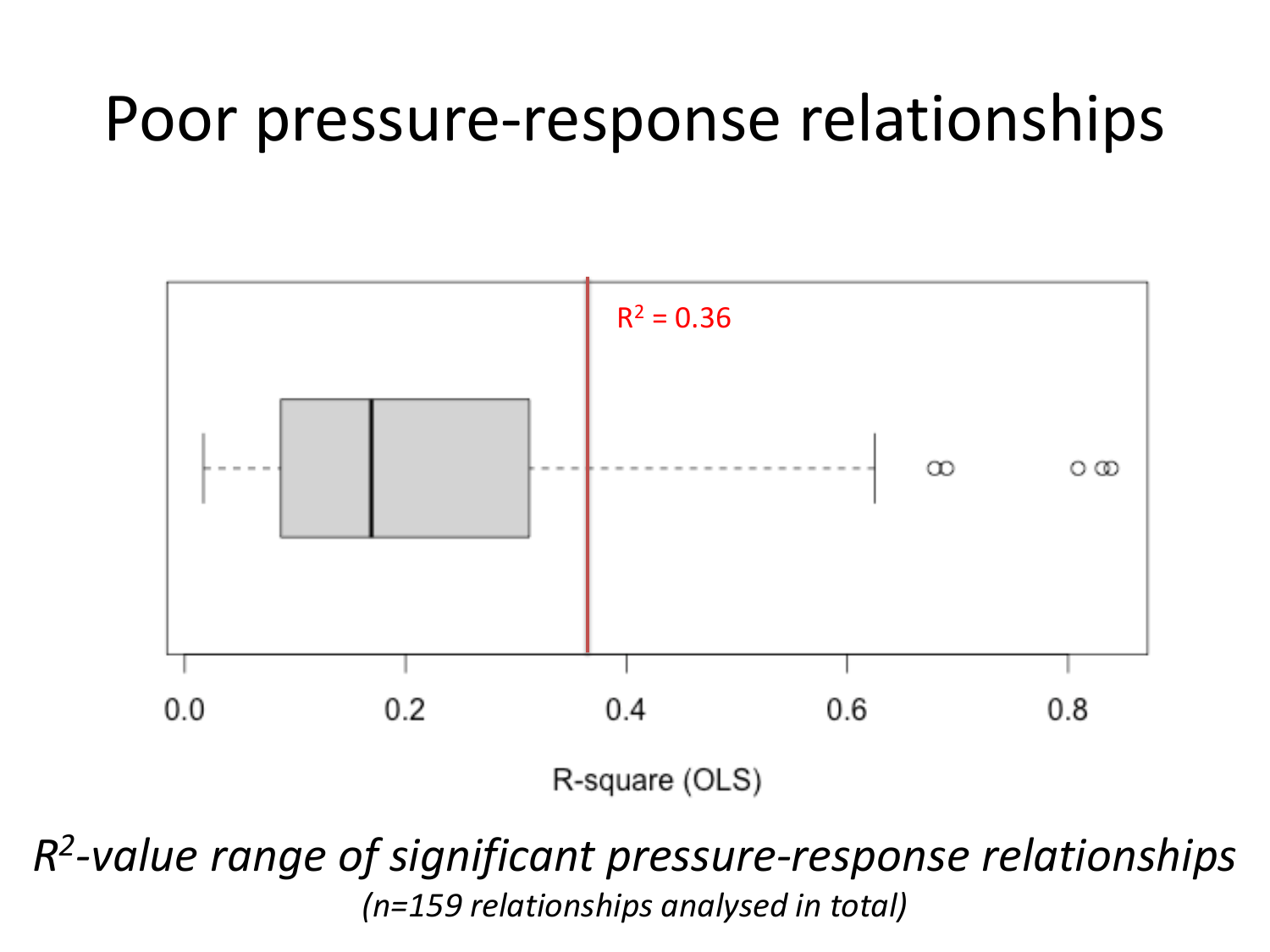### Poor pressure-response relationships



*R2-value range of significant pressure-response relationships (n=159 relationships analysed in total)*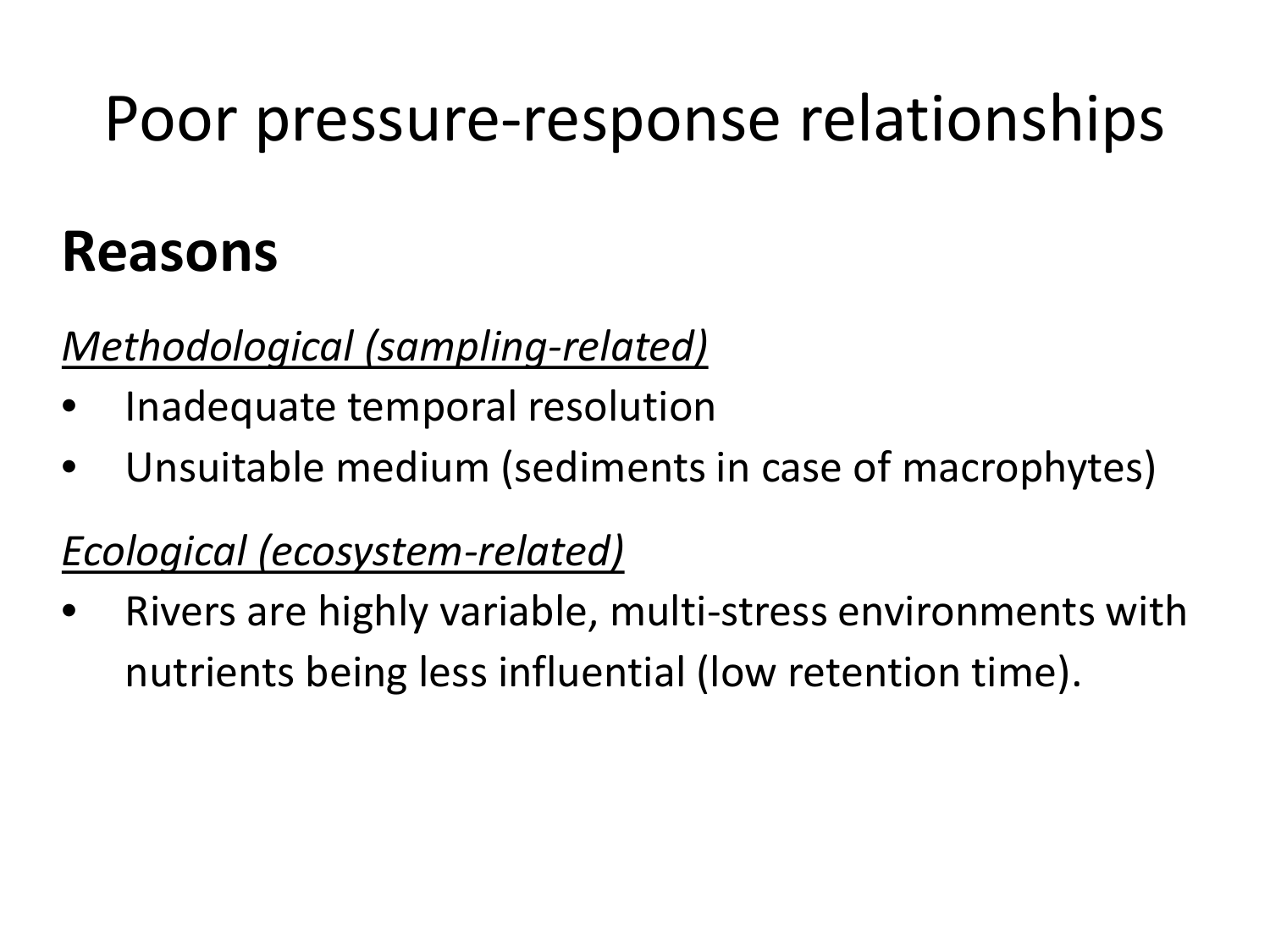### Poor pressure-response relationships

### **Reasons**

### *Methodological (sampling-related)*

- Inadequate temporal resolution
- Unsuitable medium (sediments in case of macrophytes)

### *Ecological (ecosystem-related)*

• Rivers are highly variable, multi-stress environments with nutrients being less influential (low retention time).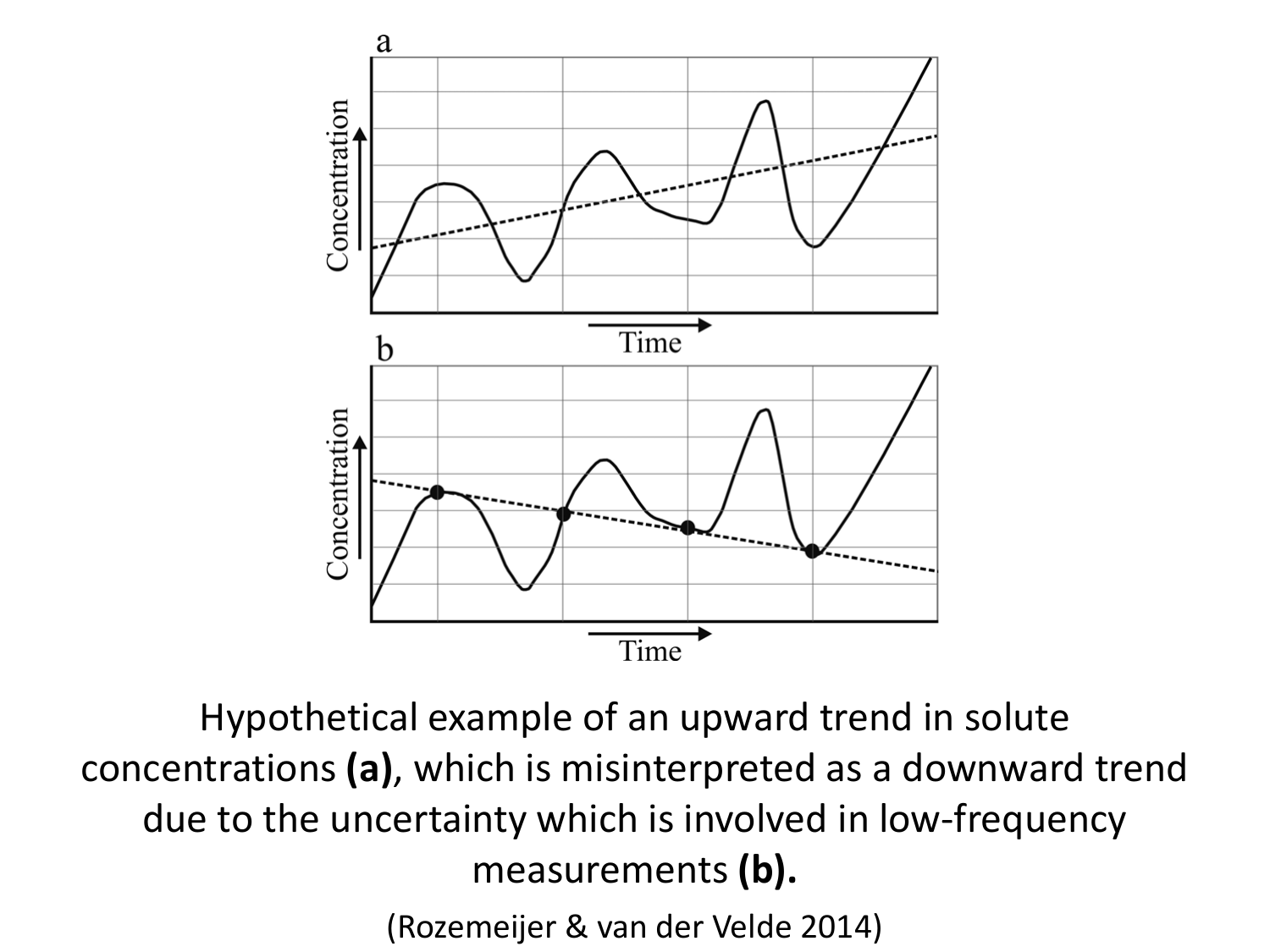

Hypothetical example of an upward trend in solute concentrations **(a)**, which is misinterpreted as a downward trend due to the uncertainty which is involved in low-frequency measurements **(b).**

(Rozemeijer & van der Velde 2014)